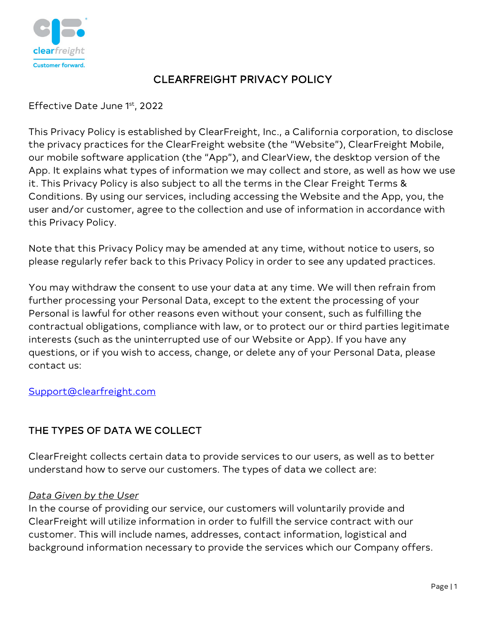

# CLEARFREIGHT PRIVACY POLICY

Effective Date June 1st, 2022

This Privacy Policy is established by ClearFreight, Inc., a California corporation, to disclose the privacy practices for the ClearFreight website (the "Website"), ClearFreight Mobile, our mobile software application (the "App"), and ClearView, the desktop version of the App. It explains what types of information we may collect and store, as well as how we use it. This Privacy Policy is also subject to all the terms in the Clear Freight Terms & Conditions. By using our services, including accessing the Website and the App, you, the user and/or customer, agree to the collection and use of information in accordance with this Privacy Policy.

Note that this Privacy Policy may be amended at any time, without notice to users, so please regularly refer back to this Privacy Policy in order to see any updated practices.

You may withdraw the consent to use your data at any time. We will then refrain from further processing your Personal Data, except to the extent the processing of your Personal is lawful for other reasons even without your consent, such as fulfilling the contractual obligations, compliance with law, or to protect our or third parties legitimate interests (such as the uninterrupted use of our Website or App). If you have any questions, or if you wish to access, change, or delete any of your Personal Data, please contact us:

[Support@clearfreight.com](mailto:Support@clearfreight.com)

# THE TYPES OF DATA WE COLLECT

ClearFreight collects certain data to provide services to our users, as well as to better understand how to serve our customers. The types of data we collect are:

## *Data Given by the User*

In the course of providing our service, our customers will voluntarily provide and ClearFreight will utilize information in order to fulfill the service contract with our customer. This will include names, addresses, contact information, logistical and background information necessary to provide the services which our Company offers.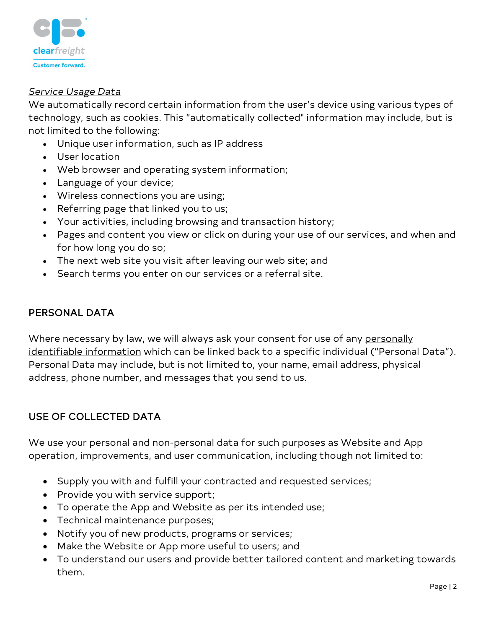

#### *Service Usage Data*

We automatically record certain information from the user's device using various types of technology, such as cookies. This "automatically collected" information may include, but is not limited to the following:

- Unique user information, such as IP address
- User location
- Web browser and operating system information;
- Language of your device;
- Wireless connections you are using;
- Referring page that linked you to us;
- Your activities, including browsing and transaction history;
- Pages and content you view or click on during your use of our services, and when and for how long you do so;
- The next web site you visit after leaving our web site; and
- Search terms you enter on our services or a referral site.

### PERSONAL DATA

Where necessary by law, we will always ask your consent for use of any personally identifiable information which can be linked back to a specific individual ("Personal Data"). Personal Data may include, but is not limited to, your name, email address, physical address, phone number, and messages that you send to us.

## USE OF COLLECTED DATA

We use your personal and non-personal data for such purposes as Website and App operation, improvements, and user communication, including though not limited to:

- Supply you with and fulfill your contracted and requested services;
- Provide you with service support;
- To operate the App and Website as per its intended use;
- Technical maintenance purposes;
- Notify you of new products, programs or services;
- Make the Website or App more useful to users; and
- To understand our users and provide better tailored content and marketing towards them.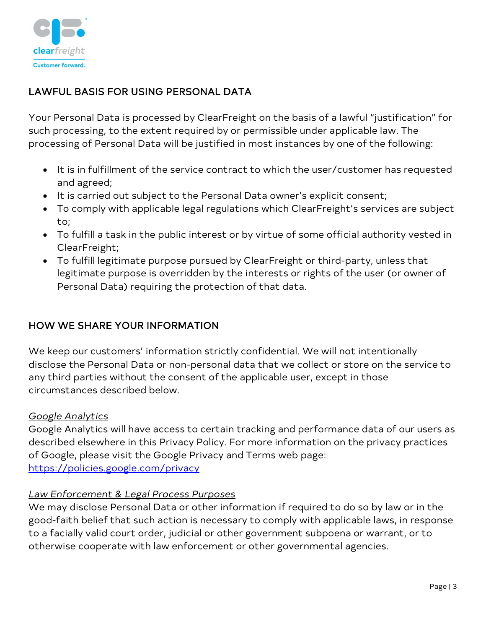

# LAWFUL BASIS FOR USING PERSONAL DATA

Your Personal Data is processed by ClearFreight on the basis of a lawful "justification" for such processing, to the extent required by or permissible under applicable law. The processing of Personal Data will be justified in most instances by one of the following:

- It is in fulfillment of the service contract to which the user/customer has requested and agreed;
- It is carried out subject to the Personal Data owner's explicit consent;
- To comply with applicable legal regulations which ClearFreight's services are subject to;
- To fulfill a task in the public interest or by virtue of some official authority vested in ClearFreight;
- To fulfill legitimate purpose pursued by ClearFreight or third-party, unless that legitimate purpose is overridden by the interests or rights of the user (or owner of Personal Data) requiring the protection of that data.

## HOW WE SHARE YOUR INFORMATION

We keep our customers' information strictly confidential. We will not intentionally disclose the Personal Data or non-personal data that we collect or store on the service to any third parties without the consent of the applicable user, except in those circumstances described below.

#### *Google Analytics*

Google Analytics will have access to certain tracking and performance data of our users as described elsewhere in this Privacy Policy. For more information on the privacy practices of Google, please visit the Google Privacy and Terms web page: <https://policies.google.com/privacy>

## *Law Enforcement & Legal Process Purposes*

We may disclose Personal Data or other information if required to do so by law or in the good-faith belief that such action is necessary to comply with applicable laws, in response to a facially valid court order, judicial or other government subpoena or warrant, or to otherwise cooperate with law enforcement or other governmental agencies.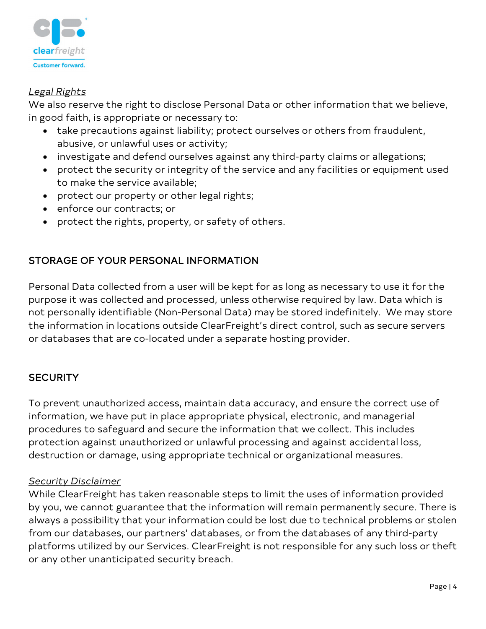

### *Legal Rights*

We also reserve the right to disclose Personal Data or other information that we believe, in good faith, is appropriate or necessary to:

- take precautions against liability; protect ourselves or others from fraudulent, abusive, or unlawful uses or activity;
- investigate and defend ourselves against any third-party claims or allegations;
- protect the security or integrity of the service and any facilities or equipment used to make the service available;
- protect our property or other legal rights;
- enforce our contracts; or
- protect the rights, property, or safety of others.

# STORAGE OF YOUR PERSONAL INFORMATION

Personal Data collected from a user will be kept for as long as necessary to use it for the purpose it was collected and processed, unless otherwise required by law. Data which is not personally identifiable (Non-Personal Data) may be stored indefinitely. We may store the information in locations outside ClearFreight's direct control, such as secure servers or databases that are co-located under a separate hosting provider.

## **SECURITY**

To prevent unauthorized access, maintain data accuracy, and ensure the correct use of information, we have put in place appropriate physical, electronic, and managerial procedures to safeguard and secure the information that we collect. This includes protection against unauthorized or unlawful processing and against accidental loss, destruction or damage, using appropriate technical or organizational measures.

#### *Security Disclaimer*

While ClearFreight has taken reasonable steps to limit the uses of information provided by you, we cannot guarantee that the information will remain permanently secure. There is always a possibility that your information could be lost due to technical problems or stolen from our databases, our partners' databases, or from the databases of any third-party platforms utilized by our Services. ClearFreight is not responsible for any such loss or theft or any other unanticipated security breach.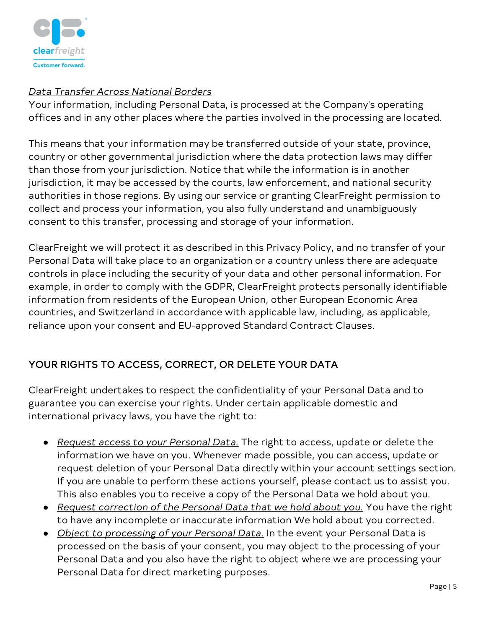

### *Data Transfer Across National Borders*

Your information, including Personal Data, is processed at the Company's operating offices and in any other places where the parties involved in the processing are located.

This means that your information may be transferred outside of your state, province, country or other governmental jurisdiction where the data protection laws may differ than those from your jurisdiction. Notice that while the information is in another jurisdiction, it may be accessed by the courts, law enforcement, and national security authorities in those regions. By using our service or granting ClearFreight permission to collect and process your information, you also fully understand and unambiguously consent to this transfer, processing and storage of your information.

ClearFreight we will protect it as described in this Privacy Policy, and no transfer of your Personal Data will take place to an organization or a country unless there are adequate controls in place including the security of your data and other personal information. For example, in order to comply with the GDPR, ClearFreight protects personally identifiable information from residents of the European Union, other European Economic Area countries, and Switzerland in accordance with applicable law, including, as applicable, reliance upon your consent and EU-approved Standard Contract Clauses.

# YOUR RIGHTS TO ACCESS, CORRECT, OR DELETE YOUR DATA

ClearFreight undertakes to respect the confidentiality of your Personal Data and to guarantee you can exercise your rights. Under certain applicable domestic and international privacy laws, you have the right to:

- *Request access to your Personal Data.* The right to access, update or delete the information we have on you. Whenever made possible, you can access, update or request deletion of your Personal Data directly within your account settings section. If you are unable to perform these actions yourself, please contact us to assist you. This also enables you to receive a copy of the Personal Data we hold about you.
- *Request correction of the Personal Data that we hold about you.* You have the right to have any incomplete or inaccurate information We hold about you corrected.
- *Object to processing of your Personal Data.* In the event your Personal Data is processed on the basis of your consent, you may object to the processing of your Personal Data and you also have the right to object where we are processing your Personal Data for direct marketing purposes.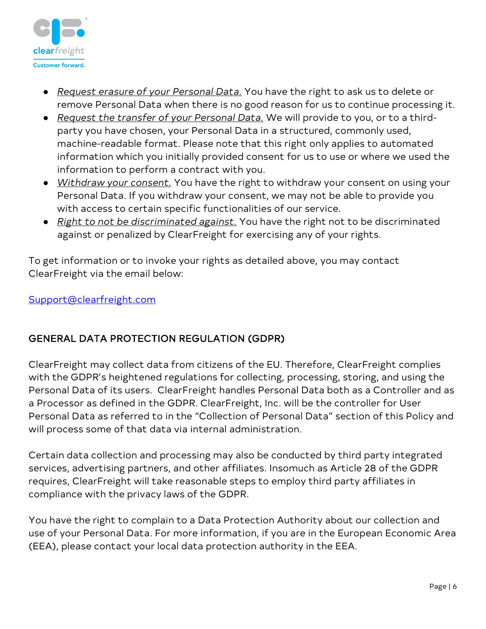

- *Request erasure of your Personal Data.* You have the right to ask us to delete or remove Personal Data when there is no good reason for us to continue processing it.
- *Request the transfer of your Personal Data.* We will provide to you, or to a thirdparty you have chosen, your Personal Data in a structured, commonly used, machine-readable format. Please note that this right only applies to automated information which you initially provided consent for us to use or where we used the information to perform a contract with you.
- *Withdraw your consent.* You have the right to withdraw your consent on using your Personal Data. If you withdraw your consent, we may not be able to provide you with access to certain specific functionalities of our service.
- *Right to not be discriminated against.* You have the right not to be discriminated against or penalized by ClearFreight for exercising any of your rights.

To get information or to invoke your rights as detailed above, you may contact ClearFreight via the email below:

[Support@clearfreight.com](mailto:Support@clearfreight.com)

# GENERAL DATA PROTECTION REGULATION (GDPR)

ClearFreight may collect data from citizens of the EU. Therefore, ClearFreight complies with the GDPR's heightened regulations for collecting, processing, storing, and using the Personal Data of its users. ClearFreight handles Personal Data both as a Controller and as a Processor as defined in the GDPR. ClearFreight, Inc. will be the controller for User Personal Data as referred to in the "Collection of Personal Data" section of this Policy and will process some of that data via internal administration.

Certain data collection and processing may also be conducted by third party integrated services, advertising partners, and other affiliates. Insomuch as Article 28 of the GDPR requires, ClearFreight will take reasonable steps to employ third party affiliates in compliance with the privacy laws of the GDPR.

You have the right to complain to a Data Protection Authority about our collection and use of your Personal Data. For more information, if you are in the European Economic Area (EEA), please contact your local data protection authority in the EEA.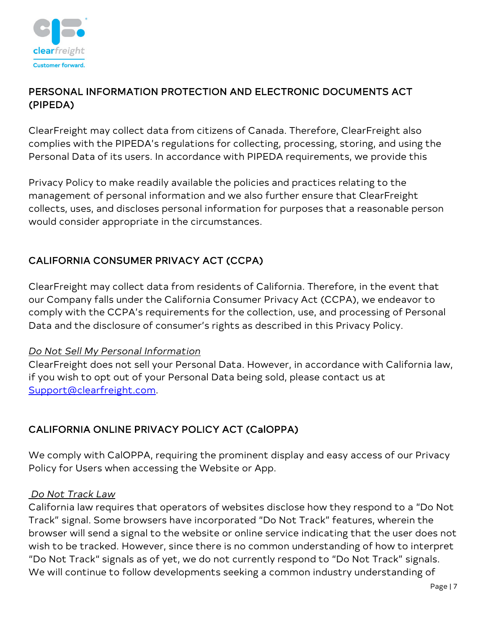

# PERSONAL INFORMATION PROTECTION AND ELECTRONIC DOCUMENTS ACT (PIPEDA)

ClearFreight may collect data from citizens of Canada. Therefore, ClearFreight also complies with the PIPEDA's regulations for collecting, processing, storing, and using the Personal Data of its users. In accordance with PIPEDA requirements, we provide this

Privacy Policy to make readily available the policies and practices relating to the management of personal information and we also further ensure that ClearFreight collects, uses, and discloses personal information for purposes that a reasonable person would consider appropriate in the circumstances.

# CALIFORNIA CONSUMER PRIVACY ACT (CCPA)

ClearFreight may collect data from residents of California. Therefore, in the event that our Company falls under the California Consumer Privacy Act (CCPA), we endeavor to comply with the CCPA's requirements for the collection, use, and processing of Personal Data and the disclosure of consumer's rights as described in this Privacy Policy.

#### *Do Not Sell My Personal Information*

ClearFreight does not sell your Personal Data. However, in accordance with California law, if you wish to opt out of your Personal Data being sold, please contact us at [Support@clearfreight.com.](mailto:Support@clearfreight.com)

# CALIFORNIA ONLINE PRIVACY POLICY ACT (CalOPPA)

We comply with CalOPPA, requiring the prominent display and easy access of our Privacy Policy for Users when accessing the Website or App.

#### *Do Not Track Law*

California law requires that operators of websites disclose how they respond to a "Do Not Track" signal. Some browsers have incorporated "Do Not Track" features, wherein the browser will send a signal to the website or online service indicating that the user does not wish to be tracked. However, since there is no common understanding of how to interpret "Do Not Track" signals as of yet, we do not currently respond to "Do Not Track" signals. We will continue to follow developments seeking a common industry understanding of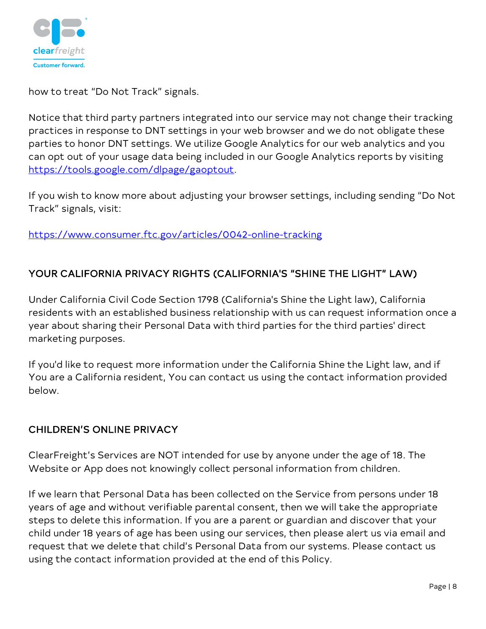

how to treat "Do Not Track" signals.

Notice that third party partners integrated into our service may not change their tracking practices in response to DNT settings in your web browser and we do not obligate these parties to honor DNT settings. We utilize Google Analytics for our web analytics and you can opt out of your usage data being included in our Google Analytics reports by visiting [https://tools.google.com/dlpage/gaoptout.](https://tools.google.com/dlpage/gaoptout)

If you wish to know more about adjusting your browser settings, including sending "Do Not Track" signals, visit:

<https://www.consumer.ftc.gov/articles/0042-online-tracking>

# YOUR CALIFORNIA PRIVACY RIGHTS (CALIFORNIA'S "SHINE THE LIGHT" LAW)

Under California Civil Code Section 1798 (California's Shine the Light law), California residents with an established business relationship with us can request information once a year about sharing their Personal Data with third parties for the third parties' direct marketing purposes.

If you'd like to request more information under the California Shine the Light law, and if You are a California resident, You can contact us using the contact information provided below.

## CHILDREN'S ONLINE PRIVACY

ClearFreight's Services are NOT intended for use by anyone under the age of 18. The Website or App does not knowingly collect personal information from children.

If we learn that Personal Data has been collected on the Service from persons under 18 years of age and without verifiable parental consent, then we will take the appropriate steps to delete this information. If you are a parent or guardian and discover that your child under 18 years of age has been using our services, then please alert us via email and request that we delete that child's Personal Data from our systems. Please contact us using the contact information provided at the end of this Policy.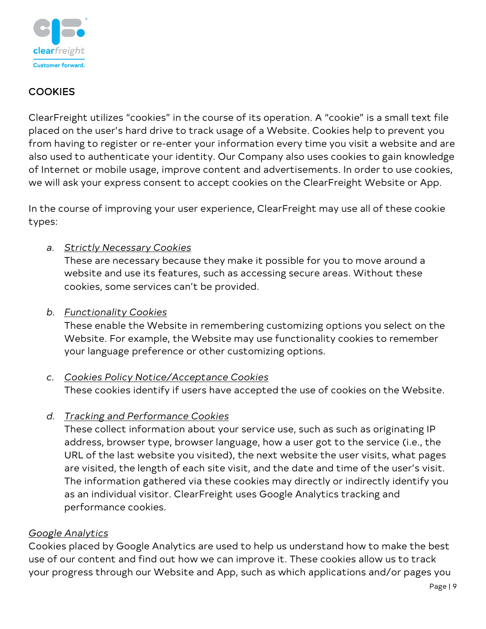

## **COOKIES**

ClearFreight utilizes "cookies" in the course of its operation. A "cookie" is a small text file placed on the user's hard drive to track usage of a Website. Cookies help to prevent you from having to register or re-enter your information every time you visit a website and are also used to authenticate your identity. Our Company also uses cookies to gain knowledge of Internet or mobile usage, improve content and advertisements. In order to use cookies, we will ask your express consent to accept cookies on the ClearFreight Website or App.

In the course of improving your user experience, ClearFreight may use all of these cookie types:

## *a. Strictly Necessary Cookies*

These are necessary because they make it possible for you to move around a website and use its features, such as accessing secure areas. Without these cookies, some services can't be provided.

### *b. Functionality Cookies*

These enable the Website in remembering customizing options you select on the Website. For example, the Website may use functionality cookies to remember your language preference or other customizing options.

## *c. Cookies Policy Notice/Acceptance Cookies*

These cookies identify if users have accepted the use of cookies on the Website.

*d. Tracking and Performance Cookies*

These collect information about your service use, such as such as originating IP address, browser type, browser language, how a user got to the service (i.e., the URL of the last website you visited), the next website the user visits, what pages are visited, the length of each site visit, and the date and time of the user's visit. The information gathered via these cookies may directly or indirectly identify you as an individual visitor. ClearFreight uses Google Analytics tracking and performance cookies.

## *Google Analytics*

Cookies placed by Google Analytics are used to help us understand how to make the best use of our content and find out how we can improve it. These cookies allow us to track your progress through our Website and App, such as which applications and/or pages you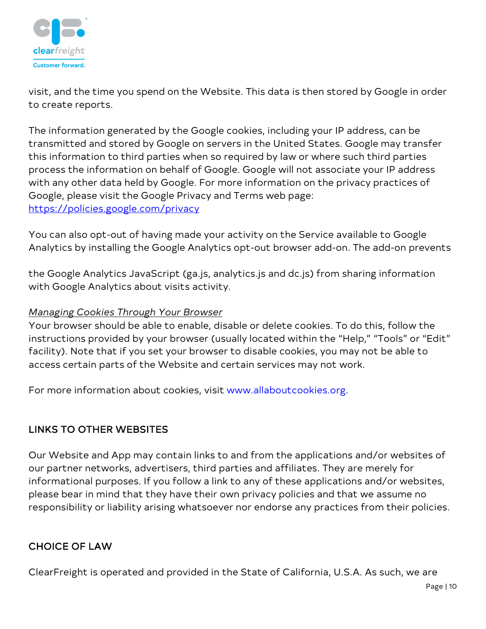

visit, and the time you spend on the Website. This data is then stored by Google in order to create reports.

The information generated by the Google cookies, including your IP address, can be transmitted and stored by Google on servers in the United States. Google may transfer this information to third parties when so required by law or where such third parties process the information on behalf of Google. Google will not associate your IP address with any other data held by Google. For more information on the privacy practices of Google, please visit the Google Privacy and Terms web page: <https://policies.google.com/privacy>

You can also opt-out of having made your activity on the Service available to Google Analytics by installing the Google Analytics opt-out browser add-on. The add-on prevents

the Google Analytics JavaScript (ga.js, analytics.js and dc.js) from sharing information with Google Analytics about visits activity.

## *Managing Cookies Through Your Browser*

Your browser should be able to enable, disable or delete cookies. To do this, follow the instructions provided by your browser (usually located within the "Help," "Tools" or "Edit" facility). Note that if you set your browser to disable cookies, you may not be able to access certain parts of the Website and certain services may not work.

For more information about cookies, visit [www.allaboutcookies.org.](http://www.allaboutcookies.org/)

# LINKS TO OTHER WEBSITES

Our Website and App may contain links to and from the applications and/or websites of our partner networks, advertisers, third parties and affiliates. They are merely for informational purposes. If you follow a link to any of these applications and/or websites, please bear in mind that they have their own privacy policies and that we assume no responsibility or liability arising whatsoever nor endorse any practices from their policies.

# CHOICE OF LAW

ClearFreight is operated and provided in the State of California, U.S.A. As such, we are